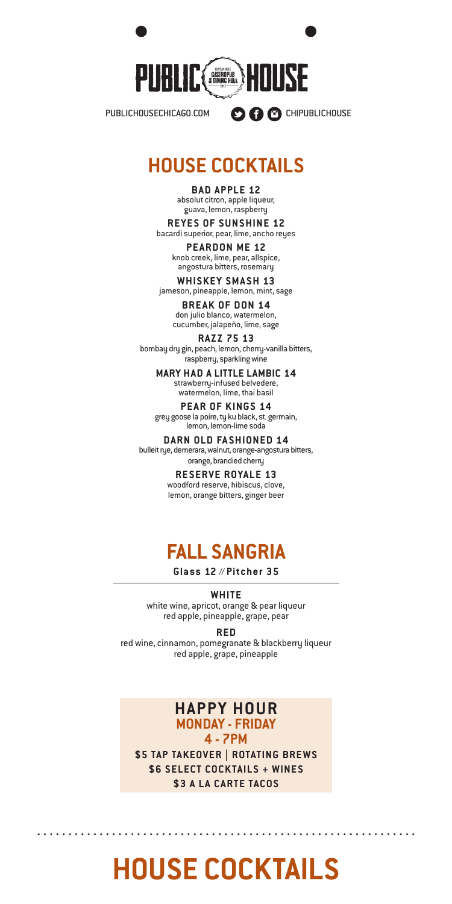

# **HOUSE COCKTAILS**

### **bad apple 12**

absolut citron, apple liqueur, guava, lemon, raspberry

**REYES OF SUNSHINE 12** bacardi superior, pear, lime, ancho reyes

> **PEARDON ME 12** knob creek, lime, pear, allspice, angostura bitters, rosemary

**whiskey smash 13** jameson, pineapple, lemon, mint, sage

**break of don 14** don julio blanco, watermelon, cucumber, jalapeño, lime, sage

**Raz z 75 13** bombay dry gin, peach, lemon, cherry-vanilla bitters, raspberry, sparkling wine

**mary had a little lambic 14** strawberry-infused belvedere, watermelon, lime, thai basil

**pear of kings 14** grey goose la poire, ty ku black, st. germain, lemon, lemon-lime soda

**Darn Old Fashioned 14** bulleit rye, demerara, walnut, orange-angostura bitters, orange, brandied cherry

> **Reserve RoyalE 13** woodford reserve, hibiscus, clove, lemon, orange bitters, ginger beer



**Glass 12** // **Pitcher 35**

**WHITE** white wine, apricot, orange & pear liqueur red apple, pineapple, grape, pear

**RED** red wine, cinnamon, pomegranate & blackberry liqueur red apple, grape, pineapple

# **HAPPY HOUR MONDAY - FRIDAY**

**4 - 7PM**

**\$5 TAP TAKEOVER | ROTATING BREWS \$6 SELECT COCKTAILS + WINES \$3 A LA CARTE TACOS**

# **house cocktails**

. . . . . . . . . . .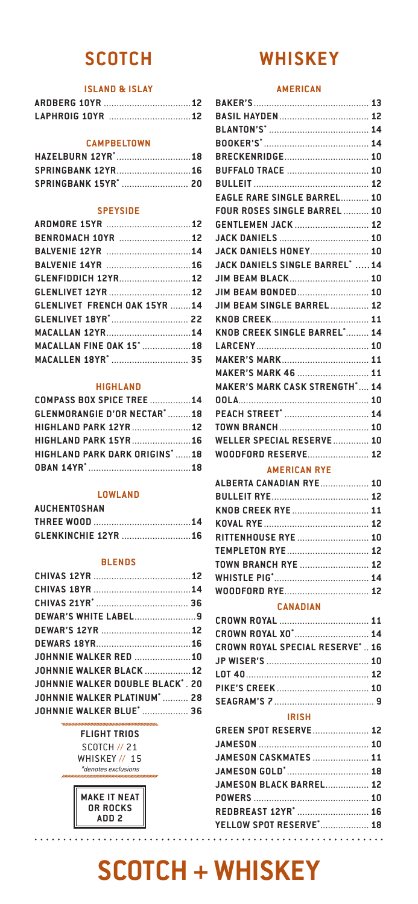# **SCOTCH**

#### **ISLAND & ISLAY**

| LAPHROIG 10YR 12 |
|------------------|

## **CAMPBELTOWN**

| HAZELBURN 12YR*18 |  |
|-------------------|--|
|                   |  |
|                   |  |

### **SPEYSIDE**

| ARDMORE 15YR  12                    |  |
|-------------------------------------|--|
| BENROMACH 10YR 12                   |  |
| BALVENIE 12YR 14                    |  |
|                                     |  |
| GLENFIDDICH 12YR12                  |  |
| GLENLIVET 12YR  12                  |  |
| <b>GLENLIVET FRENCH OAK 15YR 14</b> |  |
| GLENLIVET 18YR* 22                  |  |
| MACALLAN 12YR14                     |  |
| <b>MACALLAN FINE OAK 15*</b> 18     |  |
| MACALLEN 18YR <sup>*</sup> 35       |  |

### **HIGHLAND**

| <b>COMPASS BOX SPICE TREE 14</b>   |  |
|------------------------------------|--|
| <b>GLENMORANGIE D'OR NECTAR*18</b> |  |
| <b>HIGHLAND PARK 12YR</b> 12       |  |
| HIGHLAND PARK 15YR16               |  |
| HIGHLAND PARK DARK ORIGINS* 18     |  |
|                                    |  |

### **LOWLAND**

| <b>AUCHENTOSHAN</b>        |  |
|----------------------------|--|
|                            |  |
| <b>GLENKINCHIE 12YR</b> 16 |  |

## **BLENDS**

| <b>DEWAR'S WHITE LABEL9</b>               |  |
|-------------------------------------------|--|
|                                           |  |
|                                           |  |
| <b>JOHNNIE WALKER RED 10</b>              |  |
| <b>JOHNNIE WALKER BLACK  12</b>           |  |
| JOHNNIE WALKER DOUBLE BLACK*. 20          |  |
| JOHNNIE WALKER PLATINUM*  28              |  |
| <b>JOHNNIE WALKER BLUE<sup>*</sup></b> 36 |  |
|                                           |  |





# **WHISKEY**

#### **AMERICAN**

| BRECKENRIDGE 10                       |  |
|---------------------------------------|--|
| BUFFALO TRACE  10                     |  |
|                                       |  |
| EAGLE RARE SINGLE BARREL 10           |  |
| FOUR ROSES SINGLE BARREL  10          |  |
| <b>GENTLEMEN JACK  12</b>             |  |
| <b>JACK DANIELS  10</b>               |  |
| <b>JACK DANIELS HONEY 10</b>          |  |
| JACK DANIELS SINGLE BARREL* 14        |  |
| <b>JIM BEAM BLACK 10</b>              |  |
| <b>JIM BEAM BONDED 10</b>             |  |
| JIM BEAM SINGLE BARREL 12             |  |
|                                       |  |
| KNOB CREEK SINGLE BARREL* 14          |  |
|                                       |  |
| <b>MAKER'S MARK 11</b>                |  |
| MAKER'S MARK 46  11                   |  |
| <b>MAKER'S MARK CASK STRENGTH* 14</b> |  |
|                                       |  |
| PEACH STREET <sup>*</sup> 14          |  |
| <b>TOWN BRANCH 10</b>                 |  |
| <b>WELLER SPECIAL RESERVE 10</b>      |  |
| WOODFORD RESERVE 12                   |  |
|                                       |  |

#### **AMERICAN RYE**

| <b>ALBERTA CANADIAN RYE 10</b> |  |
|--------------------------------|--|
|                                |  |
| KNOB CREEK RYE  11             |  |
|                                |  |
| RITTENHOUSE RYE  10            |  |
| TEMPLETON RYE 12               |  |
| <b>TOWN BRANCH RYE  12</b>     |  |
|                                |  |
| WOODFORD RYE 12                |  |

### **CANADIAN**

| CROWN ROYAL XO* 14                                |  |
|---------------------------------------------------|--|
| <b>CROWN ROYAL SPECIAL RESERVE<sup>*</sup> 16</b> |  |
|                                                   |  |
|                                                   |  |
|                                                   |  |
|                                                   |  |
|                                                   |  |

# **IRISH**

| <b>GREEN SPOT RESERVE 12</b>   |  |
|--------------------------------|--|
|                                |  |
| <b>JAMESON CASKMATES  11</b>   |  |
| JAMESON GOLD* 18               |  |
| JAMESON BLACK BARREL 12        |  |
|                                |  |
| REDBREAST 12YR <sup>*</sup> 16 |  |
| YELLOW SPOT RESERVE* 18        |  |
|                                |  |

**scotch + whiskey**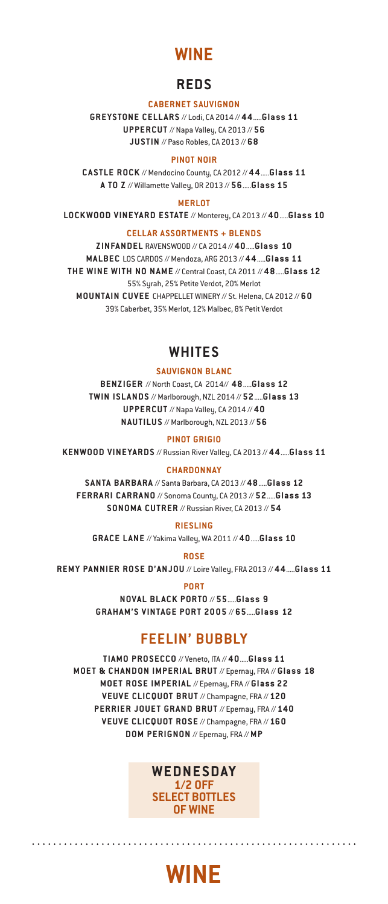# **WINE**

# **REDS**

## **Cabernet Sauvignon**

**GREYSTONE CELLARS** // Lodi, CA 2014 // **4 4**.....**Glass 11 UPPERCUT** // Napa Valley, CA 2013 // **56 JUSTIN** // Paso Robles, CA 2013 // **68**

### **PINOT NOIR**

**CASTLE ROCK** // Mendocino County, CA 2012 // **4 4**.....**Glass 11 A TO Z** // Willamette Valley, OR 2013 // **56**.....**Glass 15**

**MERLOT**

**LOCKWOOD VINEYARD ESTATE** // Monterey, CA 2013 // **40**.....**Glass 10**

## **CELLAR ASSORTMENTS + BLENDS**

**ZINFANDEL** RAVENSWOOD // CA 2014 // **40**.....**Glass 10 MALBEC** LOS CARDOS // Mendoza, ARG 2013 // **4 4**.....**Glass 11 THE WINE WITH NO NAME** // Central Coast, CA 2011 // **48**.....**Glass 12** 55% Syrah, 25% Petite Verdot, 20% Merlot **MOUNTAIN CUVEE** CHAPPELLET WINERY // St. Helena, CA 2012 // **60** 39% Caberbet, 35% Merlot, 12% Malbec, 8% Petit Verdot

# **WHITES**

### **SAUVIGNON BLANC**

**Benziger** // North Coast, CA 2014// **48**.....**Glass 12 TWIN ISLANDS** // Marlborough, NZL 2014 // **52**.....**Glass 13 UPPERCUT** // Napa Valley, CA 2014 // **40 NAUTILUS** // Marlborough, NZL 2013 // **56**

### **Pinot Grigio**

**KENWOOD VINEYARDS** // Russian River Valley, CA 2013 // **4 4**.....**Glass 11**

### **CHARDONNAY**

**SANTA BARBARA** // Santa Barbara, CA 2013 // **48**.....**Glass 12 FERRARI CARRANO** // Sonoma County, CA 2013 // **52**.....**Glass 13 SONOMA CUTRER** // Russian River, CA 2013 // **54**

### **RIESLING**

**GRACE LANE** // Yakima Valley, WA 2011 // **40**.....**Glass 10**

## **ROSE**

**REMY PANNIER ROSE D'ANJOU** // Loire Valley, FRA 2013 // **4 4**.....**Glass 11**

**PORT**

**NOVAL BLACK PORTO** // **55**.....**Glass 9 GRAHAM'S VINTAGE PORT 2005** // **65**.....**Glass 12**

# **FEELIN' BUBBLY**

**TIAMO PROSECCO** // Veneto, ITA // **40**.....**Glass 11 Moet & Chandon Imperial Brut** // Epernay, FRA // **Glass 18 MOET ROSE IMPERIAL** // Epernay, FRA // **Glass 22 VEUVE CLICQUOT BRUT** // Champagne, FRA // **120 PERRIER JOUET GRAND BRUT** // Epernay, FRA // **140 VEUVE CLICQUOT ROSE** // Champagne, FRA // **160 DOM PERIGNON** // Epernay, FRA // **MP**

# **WEDNESDAY 1/2 OFF SELECT BOTTLES OF WINE**

**wine**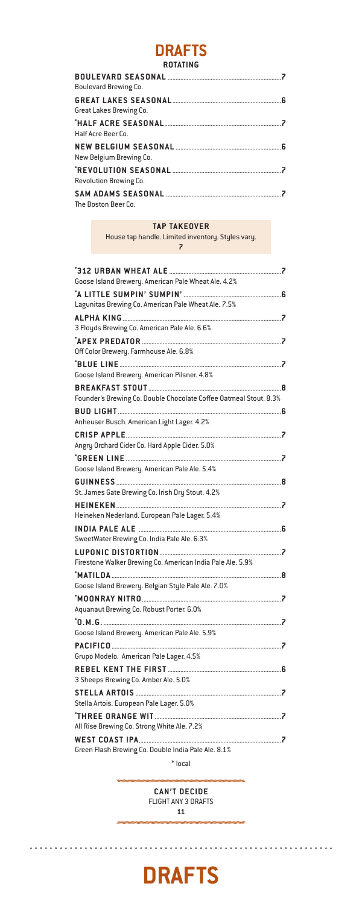# **drafts ROTATING**

| Boulevard Brewing Co.   |  |
|-------------------------|--|
| Great Lakes Brewing Co. |  |
| Half Acre Beer Co.      |  |
| New Belgium Brewing Co. |  |
| Revolution Brewing Co.  |  |
| The Boston Beer Co.     |  |

### **Tap Takeover**

House tap handle. Limited inventory. Styles vary. **7**

| Goose Island Brewery. American Pale Wheat Ale. 4.2%               |
|-------------------------------------------------------------------|
|                                                                   |
| Lagunitas Brewing Co. American Pale Wheat Ale. 7.5%               |
|                                                                   |
| 3 Floyds Brewing Co. American Pale Ale. 6.6%                      |
|                                                                   |
| Off Color Brewery. Farmhouse Ale. 6.8%                            |
|                                                                   |
| Goose Island Brewery. American Pilsner. 4.8%                      |
|                                                                   |
| Founder's Brewing Co. Double Chocolate Coffee Oatmeal Stout. 8.3% |
| Anheuser Busch. American Light Lager. 4.2%                        |
|                                                                   |
| Angry Orchard Cider Co. Hard Apple Cider. 5.0%                    |
|                                                                   |
| Goose Island Brewery. American Pale Ale. 5.4%                     |
|                                                                   |
| St. James Gate Brewing Co. Irish Dry Stout. 4.2%                  |
|                                                                   |
| Heineken Nederland. European Pale Lager. 5.4%                     |
|                                                                   |
| SweetWater Brewing Co. India Pale Ale. 6.3%                       |
|                                                                   |
| Firestone Walker Brewing Co. American India Pale Ale. 5.9%        |
|                                                                   |
| Goose Island Brewery. Belgian Style Pale Ale. 7.0%                |
|                                                                   |
| Aquanaut Brewing Co. Robust Porter. 6.0%                          |
|                                                                   |
| Goose Island Brewery. American Pale Ale. 5.9%                     |
|                                                                   |
| Grupo Modelo. American Pale Lager. 4.5%                           |
|                                                                   |
| 3 Sheeps Brewing Co. Amber Ale. 5.0%                              |
|                                                                   |
| Stella Artois. European Pale Lager. 5.0%                          |
|                                                                   |
| All Rise Brewing Co. Strong White Ale. 7.2%                       |
|                                                                   |
| Green Flash Brewing Co. Double India Pale Ale. 8.1%               |

### $*$  local

**CAN'T DECIDE** FLIGHT ANY 3 DRAFTS **11**

**drafts**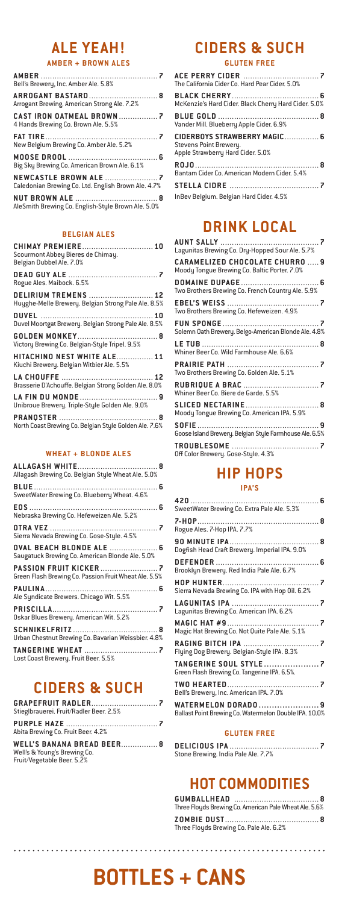# **bottles + cans**

# **ALE YEAH!**

# **amber + brown ales**

| Bell's Brewery, Inc. Amber Ale. 5.8%                                                 |
|--------------------------------------------------------------------------------------|
| <b>ARROGANT BASTARD 8</b><br>Arrogant Brewing. American Strong Ale. 7.2%             |
| CAST IRON OATMEAL BROWN 7<br>4 Hands Brewing Co. Brown Ale. 5.5%                     |
| New Belgium Brewing Co. Amber Ale. 5.2%                                              |
| Big Sky Brewing Co. American Brown Ale. 6.1%                                         |
| <b>NEWCASTLE BROWN ALE  7</b><br>Caledonian Brewing Co. Ltd. English Brown Ale. 4.7% |
| AleSmith Brewing Co. English-Style Brown Ale. 5.0%                                   |

### **belgian ales**

| CHIMAY PREMIERE 10<br>Scourmont Abbey Bieres de Chimay.<br>Belgian Dubbel Ale. 7.0% |
|-------------------------------------------------------------------------------------|
| Rogue Ales. Maibock. 6.5%                                                           |
| <b>DELIRIUM TREMENS  12</b><br>Huyghe-Melle Brewery. Belgian Strong Pale Ale. 8.5%  |
| Duvel Moortgat Brewery. Belgian Strong Pale Ale. 8.5%                               |
| Victory Brewing Co. Belgian-Style Tripel. 9.5%                                      |
| <b>HITACHINO NEST WHITE ALE 11</b><br>Kiuchi Brewery. Belgian Witbier Ale. 5.5%     |
| Brasserie D'Achouffe. Belgian Strong Golden Ale. 8.0%                               |
| Unibroue Brewery. Triple-Style Golden Ale. 9.0%                                     |
| North Coast Brewing Co. Belgian Style Golden Ale. 7.6%                              |

## **wheat + blonde ales**

# **Ciders & Such**

Stieglbrauerei. Fruit/Radler Beer. 2.5%

# **PURPLE HAZE** ........................................ **7**

Abita Brewing Co. Fruit Beer. 4.2%

### **WELL'S BANANA BREAD BEER**................ **8**

Well's & Young's Brewing Co. Fruit/Vegetable Beer. 5.2%

# **Ciders & Such**

|  |  |  | TEN F | ٠Е. |
|--|--|--|-------|-----|
|--|--|--|-------|-----|

| The California Cider Co. Hard Pear Cider. 5.0%                                              |  |
|---------------------------------------------------------------------------------------------|--|
| McKenzie's Hard Cider. Black Cherry Hard Cider. 5.0%                                        |  |
| Vander Mill. Blueberry Apple Cider. 6.9%                                                    |  |
| CIDERBOYS STRAWBERRY MAGIC 6<br>Stevens Point Brewery.<br>Apple Strawberry Hard Cider. 5.0% |  |
| Bantam Cider Co. American Modern Cider, 5.4%                                                |  |
|                                                                                             |  |
| In Bev Belgium, Belgian Hard Cider, 4.5%                                                    |  |

# **DRINK LOCAL**

**GRAPEFRUIT RADLER**............................. **7 Watermelon Dorado ....................... 9**

# **HIP HOPS IPA's**

| SweetWater Brewing Co. Extra Pale Ale. 5.3%                                   |  |
|-------------------------------------------------------------------------------|--|
| Rogue Ales. 7-Hop IPA. 7.7%                                                   |  |
| Dogfish Head Craft Brewery. Imperial IPA. 9.0%                                |  |
| Brooklyn Brewery. Red India Pale Ale. 6.7%                                    |  |
| Sierra Nevada Brewing Co. IPA with Hop Oil. 6.2%                              |  |
| Lagunitas Brewing Co. American IPA. 6.2%                                      |  |
| Magic Hat Brewing Co. Not Quite Pale Ale. 5.1%                                |  |
| Flying Dog Brewery. Belgian-Style IPA. 8.3%                                   |  |
| <b>TANGERINE SOUL STYLE 7</b><br>Green Flash Brewing Co. Tangerine IPA. 6.5%. |  |
| Bell's Brewery, Inc. American IPA. 7.0%                                       |  |
|                                                                               |  |

Ballast Point Brewing Co. Watermelon Double IPA. 10.0%

### **gluten free**

**Delicious IPA** ....................................... **7** Stone Brewing. India Pale Ale. 7.7%

# **HOT COMMODITIES**

| Three Floyds Brewing Co. American Pale Wheat Ale. 5.6% |
|--------------------------------------------------------|
|                                                        |
| Three Floyds Brewing Co. Pale Ale. 6.2%                |